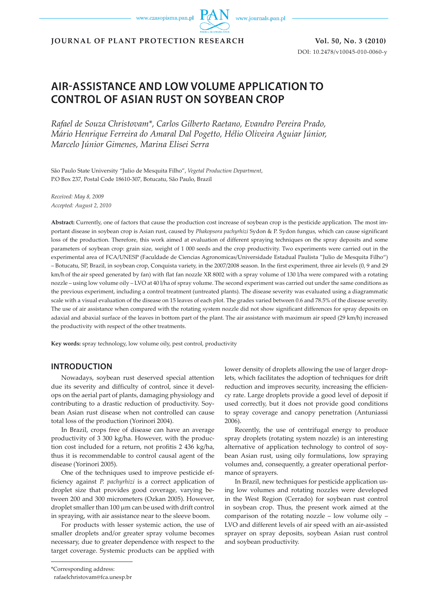www.czasopisma.pan.pl



**JOURNAL OF PLANT PROTECTION RESEARCH Vol. 50, No. 3 (2010)**

DOI: 10.2478/v10045-010-0060-y

# **AIR-ASSISTANCE AND LOW VOLUME APPLICATION TO CONTROL OF ASIAN RUST ON SOYBEAN CROP**

*Rafael de Souza Christovam\*, Carlos Gilberto Raetano, Evandro Pereira Prado, Mário Henrique Ferreira do Amaral Dal Pogetto, Hélio Oliveira Aguiar Júnior, Marcelo Júnior Gimenes, Marina Elisei Serra*

São Paulo State University "Julio de Mesquita Filho", *Vegetal Production Department*, P.O Box 237, Postal Code 18610-307, Botucatu, São Paulo, Brazil

*Received: May 8, 2009 Accepted: August 2, 2010*

**Abstract:** Currently, one of factors that cause the production cost increase of soybean crop is the pesticide application. The most important disease in soybean crop is Asian rust, caused by *Phakopsora pachyrhizi* Sydon & P. Sydon fungus*,* which can cause significant loss of the production. Therefore, this work aimed at evaluation of different spraying techniques on the spray deposits and some parameters of soybean crop: grain size, weight of 1 000 seeds and the crop productivity. Two experiments were carried out in the experimental area of FCA/UNESP (Faculdade de Ciencias Agronomicas/Universidade Estadual Paulista "Julio de Mesquita Filho") – Botucatu, SP, Brazil, in soybean crop, Conquista variety, in the 2007/2008 season. In the first experiment, three air levels (0, 9 and 29 km/h of the air speed generated by fan) with flat fan nozzle XR 8002 with a spray volume of 130 l/ha were compared with a rotating nozzle – using low volume oily – LVO at 40 l/ha of spray volume. The second experiment was carried out under the same conditions as the previous experiment, including a control treatment (untreated plants). The disease severity was evaluated using a diagrammatic scale with a visual evaluation of the disease on 15 leaves of each plot. The grades varied between 0.6 and 78.5% of the disease severity. The use of air assistance when compared with the rotating system nozzle did not show significant differences for spray deposits on adaxial and abaxial surface of the leaves in bottom part of the plant. The air assistance with maximum air speed (29 km/h) increased the productivity with respect of the other treatments.

**Key words:** spray technology, low volume oily, pest control, productivity

# **INTRODUCTION**

Nowadays, soybean rust deserved special attention due its severity and difficulty of control, since it develops on the aerial part of plants, damaging physiology and contributing to a drastic reduction of productivity. Soybean Asian rust disease when not controlled can cause total loss of the production (Yorinori 2004).

In Brazil, crops free of disease can have an average productivity of 3 300 kg/ha. However, with the production cost included for a return, not profitis 2 436 kg/ha, thus it is recommendable to control causal agent of the disease (Yorinori 2005).

One of the techniques used to improve pesticide efficiency against *P. pachyrhizi* is a correct application of droplet size that provides good coverage, varying between 200 and 300 micrometers (Ozkan 2005). However, droplet smaller than 100 µm can be used with drift control in spraying, with air assistance near to the sleeve boom.

For products with lesser systemic action, the use of smaller droplets and/or greater spray volume becomes necessary, due to greater dependence with respect to the target coverage. Systemic products can be applied with

lower density of droplets allowing the use of larger droplets, which facilitates the adoption of techniques for drift reduction and improves security, increasing the efficiency rate. Large droplets provide a good level of deposit if used correctly, but it does not provide good conditions to spray coverage and canopy penetration (Antuniassi 2006).

Recently, the use of centrifugal energy to produce spray droplets (rotating system nozzle) is an interesting alternative of application technology to control of soybean Asian rust, using oily formulations, low spraying volumes and, consequently, a greater operational performance of sprayers.

In Brazil, new techniques for pesticide application using low volumes and rotating nozzles were developed in the West Region (Cerrado) for soybean rust control in soybean crop. Thus, the present work aimed at the comparison of the rotating nozzle – low volume oily – LVO and different levels of air speed with an air-assisted sprayer on spray deposits, soybean Asian rust control and soybean productivity.

rafaelchristovam@fca.unesp.br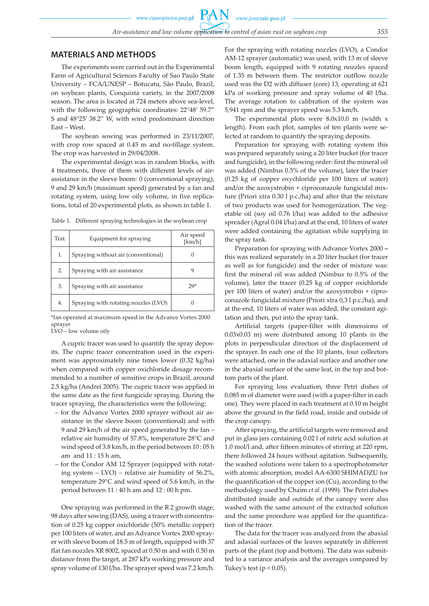PA

## **MATERIALS AND METHODS**

The experiments were carried out in the Experimental Farm of Agricultural Sciences Faculty of Sao Paulo State University – FCA/UNESP – Botucatu, São Paulo, Brazil, on soybean plants, Conquista variety, in the 2007/2008 season. The area is located at 724 meters above sea-level, with the following geographic coordinates: 22°48' 59.7" S and 48°25' 38.2" W, with wind predominant direction East – West.

The soybean sowing was performed in 23/11/2007, with crop row spaced at 0.45 m and no-tillage system. The crop was harvested in 29/04/2008.

The experimental design was in random blocks, with 4 treatments, three of them with different levels of airassistance in the sleeve boom: 0 (conventional spraying), 9 and 29 km/h (maximum speed) generated by a fan and rotating system, using low oily volume, in five replications, total of 20 experimental plots, as shown in table 1.

Table 1. Different spraying technologies in the soybean crop

| Trat. | Equipment for spraying               | Air speed<br>[km/h] |
|-------|--------------------------------------|---------------------|
| 1.    | Spraying without air (conventional)  |                     |
| 2.    | Spraying with air assistance         |                     |
| 3.    | Spraying with air assistance         | 29*                 |
| 4.    | Spraying with rotating nozzles (LVO) |                     |

\*fan operated at maximum speed in the Advance Vortex 2000 sprayer

LVO – low volume oily

A cupric tracer was used to quantify the spray deposits. The cupric tracer concentration used in the experiment was approximately nine times lower (0.32 kg/ha) when compared with copper oxichloride dosage recommended to a number of sensitive crops in Brazil, around 2.5 kg/ha (Andrei 2005). The cupric tracer was applied in the same date as the first fungicide spraying. During the tracer spraying, the characteristics were the following:

- for the Advance Vortex 2000 sprayer without air assistance in the sleeve boom (conventional) and with 9 and 29 km/h of the air speed generated by the fan – relative air humidity of 57.8%, temperature 28°C and wind speed of 3.8 km/h, in the period between 10 : 05 h am and 11 : 15 h am,
- for the Condor AM 12 Sprayer (equipped with rotating system – LVO) – relative air humidity of 56.2%, temperature 29°C and wind speed of 5.6 km/h, in the period between 11 : 40 h am and 12 : 00 h pm.

One spraying was performed in the R 2 growth stage, 98 days after sowing (DAS), using a tracer with concentration of 0.25 kg copper oxichloride (50% metallic copper) per 100 liters of water, and an Advance Vortex 2000 sprayer with sleeve boom of 18.5 m of length, equipped with 37 flat fan nozzles XR 8002, spaced at 0.50 m and with 0.50 m distance from the target, at 287 kPa working pressure and spray volume of 130 l/ha. The sprayer speed was 7.2 km/h. For the spraying with rotating nozzles (LVO), a Condor AM-12 sprayer (automatic) was used, with 13 m of sleeve boom length, equipped with 9 rotating nozzles spaced of 1.35 m between them. The restrictor outflow nozzle used was the D2 with diffuser (core) 13, operating at 621 kPa of working pressure and spray volume of 40 l/ha. The average rotation to calibration of the system was 5,941 rpm and the sprayer speed was 5.3 km/h.

The experimental plots were 8.0x10.0 m (width x length). From each plot, samples of ten plants were selected at random to quantify the spraying deposits.

Preparation for spraying with rotating system this was prepared separately using a 20 liter bucket (for tracer and fungicide), in the following order: first the mineral oil was added (Nimbus 0.5% of the volume), later the tracer (0.25 kg of copper oxychloride per 100 liters of water) and/or the azoxystrobin + ciproconazole fungicidal mixture (Priori xtra 0.30 l p.c./ha) and after that the mixture of two products was used for homogenization. The vegetable oil (soy oil 0.76 l/ha) was added to the adhesive spreader (Agral 0.04 l/ha) and at the end, 10 liters of water were added containing the agitation while supplying in the spray tank.

Preparation for spraying with Advance Vortex 2000 **–**  this was realized separately in a 20 liter bucket (for tracer as well as for fungicide) and the order of mixture was: first the mineral oil was added (Nimbus to 0.5% of the volume), later the tracer (0.25 kg of copper oxichloride per 100 liters of water) and/or the azoxystrobin + ciproconazole fungicidal mixture (Priori xtra 0,3 l p.c./ha), and at the end, 10 liters of water was added, the constant agitation and then, put into the spray tank.

Artificial targets (paper-filter with dimensions of 0.03x0.03 m) were distributed among 10 plants in the plots in perpendicular direction of the displacement of the sprayer. In each one of the 10 plants, four collectors were attached, one in the adaxial surface and another one in the abaxial surface of the same leaf, in the top and bottom parts of the plant.

For spraying loss evaluation, three Petri dishes of 0.085 m of diameter were used (with a paper-filter in each one). They were placed in each treatment at 0.10 m height above the ground in the field road, inside and outside of the crop canopy.

After spraying, the artificial targets were removed and put in glass jars containing 0.02 l of nitric acid solution at 1.0 mol/l and, after fifteen minutes of stirring at 220 rpm, there followed 24 hours without agitation. Subsequently, the washed solutions were taken to a spectrophotometer with atomic absorption, model AA-6300 SHIMADZU for the quantification of the copper ion (Cu), according to the methodology used by Chaim *et al.* (1999). The Petri dishes distributed inside and outside of the canopy were also washed with the same amount of the extracted solution and the same procedure was applied for the quantification of the tracer.

The data for the tracer was analyzed from the abaxial and adaxial surfaces of the leaves separately in different parts of the plant (top and bottom). The data was submitted to a variance analysis and the averages compared by Tukey's test ( $p < 0.05$ ).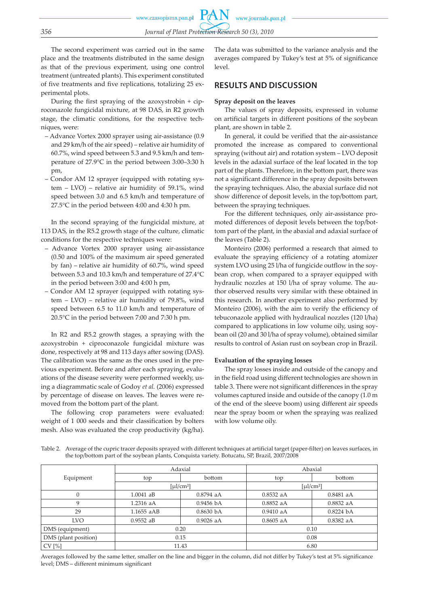The second experiment was carried out in the same place and the treatments distributed in the same design as that of the previous experiment, using one control treatment (untreated plants). This experiment constituted of five treatments and five replications, totalizing 25 experimental plots.

During the first spraying of the azoxystrobin + ciproconazole fungicidal mixture, at 98 DAS, in R2 growth stage, the climatic conditions, for the respective techniques, were:

- Advance Vortex 2000 sprayer using air-assistance (0.9 and 29 km/h of the air speed) – relative air humidity of 60.7%, wind speed between 5.3 and 9.5 km/h and temperature of 27.9°C in the period between 3:00–3:30 h pm,
- Condor AM 12 sprayer (equipped with rotating system – LVO) – relative air humidity of 59.1%, wind speed between 3.0 and 6.5 km/h and temperature of 27.5°C in the period between 4:00 and 4:30 h pm.

In the second spraying of the fungicidal mixture, at 113 DAS, in the R5.2 growth stage of the culture, climatic conditions for the respective techniques were:

- Advance Vortex 2000 sprayer using air-assistance (0.50 and 100% of the maximum air speed generated by fan) – relative air humidity of 60.7%, wind speed between 5.3 and 10.3 km/h and temperature of 27.4°C in the period between 3:00 and 4:00 h pm,
- Condor AM 12 sprayer (equipped with rotating system – LVO) – relative air humidity of 79.8%, wind speed between 6.5 to 11.0 km/h and temperature of 20.5°C in the period between 7:00 and 7:30 h pm.

In R2 and R5.2 growth stages, a spraying with the azoxystrobin + ciproconazole fungicidal mixture was done, respectively at 98 and 113 days after sowing (DAS). The calibration was the same as the ones used in the previous experiment. Before and after each spraying, evaluations of the disease severity were performed weekly, using a diagrammatic scale of Godoy *et al.* (2006) expressed by percentage of disease on leaves. The leaves were removed from the bottom part of the plant.

The following crop parameters were evaluated: weight of 1 000 seeds and their classification by bolters mesh. Also was evaluated the crop productivity (kg/ha).

The data was submitted to the variance analysis and the averages compared by Tukey's test at 5% of significance level.

# **RESULTS AND DISCUSSION**

#### **Spray deposit on the leaves**

The values of spray deposits, expressed in volume on artificial targets in different positions of the soybean plant, are shown in table 2.

In general, it could be verified that the air-assistance promoted the increase as compared to conventional spraying (without air) and rotation system – LVO deposit levels in the adaxial surface of the leaf located in the top part of the plants. Therefore, in the bottom part, there was not a significant difference in the spray deposits between the spraying techniques. Also, the abaxial surface did not show difference of deposit levels, in the top/bottom part, between the spraying techniques.

For the different techniques, only air-assistance promoted differences of deposit levels between the top/bottom part of the plant, in the abaxial and adaxial surface of the leaves (Table 2).

Monteiro (2006) performed a research that aimed to evaluate the spraying efficiency of a rotating atomizer system LVO using 25 l/ha of fungicide outflow in the soybean crop, when compared to a sprayer equipped with hydraulic nozzles at 150 l/ha of spray volume. The author observed results very similar with these obtained in this research. In another experiment also performed by Monteiro (2006), with the aim to verify the efficiency of tebuconazole applied with hydraulical nozzles (120 l/ha) compared to applications in low volume oily, using soybean oil (20 and 30 l/ha of spray volume), obtained similar results to control of Asian rust on soybean crop in Brazil.

#### **Evaluation of the spraying losses**

The spray losses inside and outside of the canopy and in the field road using different technologies are shown in table 3. There were not significant differences in the spray volumes captured inside and outside of the canopy (1.0 m of the end of the sleeve boom) using different air speeds near the spray boom or when the spraying was realized with low volume oily.

|                      |              | Adaxial                      | Abaxial                                                                                                                                                                                                                                                                                                                                                                                                                                                                                     |             |  |
|----------------------|--------------|------------------------------|---------------------------------------------------------------------------------------------------------------------------------------------------------------------------------------------------------------------------------------------------------------------------------------------------------------------------------------------------------------------------------------------------------------------------------------------------------------------------------------------|-------------|--|
| Equipment            | top          | bottom<br>top                |                                                                                                                                                                                                                                                                                                                                                                                                                                                                                             | bottom      |  |
|                      |              | [µ $\mu$ ]/cm <sup>2</sup> ] | $\lceil \mu \cdot \text{L} \cdot \text{L} \cdot \text{L} \cdot \text{L} \cdot \text{L} \cdot \text{L} \cdot \text{L} \cdot \text{L} \cdot \text{L} \cdot \text{L} \cdot \text{L} \cdot \text{L} \cdot \text{L} \cdot \text{L} \cdot \text{L} \cdot \text{L} \cdot \text{L} \cdot \text{L} \cdot \text{L} \cdot \text{L} \cdot \text{L} \cdot \text{L} \cdot \text{L} \cdot \text{L} \cdot \text{L} \cdot \text{L} \cdot \text{L} \cdot \text{L} \cdot \text{L} \cdot \text{L} \cdot \text{$ |             |  |
| $\mathbf{0}$         | $1.0041$ aB  | $0.8794$ aA                  | $0.8532$ aA                                                                                                                                                                                                                                                                                                                                                                                                                                                                                 | 0.8481 aA   |  |
| 9                    | $1.2316$ aA  | $0.9456\;bA$                 | $0.8852$ aA                                                                                                                                                                                                                                                                                                                                                                                                                                                                                 | $0.8832$ aA |  |
| 29                   | $1.1655$ aAB | $0.8630\;$ bA                | $0.9410$ aA                                                                                                                                                                                                                                                                                                                                                                                                                                                                                 | 0.8224 bA   |  |
| <b>LVO</b>           | $0.9552$ aB  | $0.9026$ aA                  | $0.8605$ aA                                                                                                                                                                                                                                                                                                                                                                                                                                                                                 | 0.8382 aA   |  |
| DMS (equipment)      | 0.20         |                              | 0.10                                                                                                                                                                                                                                                                                                                                                                                                                                                                                        |             |  |
| DMS (plant position) | 0.15         |                              | 0.08                                                                                                                                                                                                                                                                                                                                                                                                                                                                                        |             |  |
| CV[%]                | 11.43        |                              | 6.80                                                                                                                                                                                                                                                                                                                                                                                                                                                                                        |             |  |

Table 2. Average of the cupric tracer deposits sprayed with different techniques at artificial target (paper-filter) on leaves surfaces, in the top/bottom part of the soybean plants, Conquista variety. Botucatu, SP, Brazil, 2007/2008

Averages followed by the same letter, smaller on the line and bigger in the column, did not differ by Tukey's test at 5% significance level; DMS – different minimum significant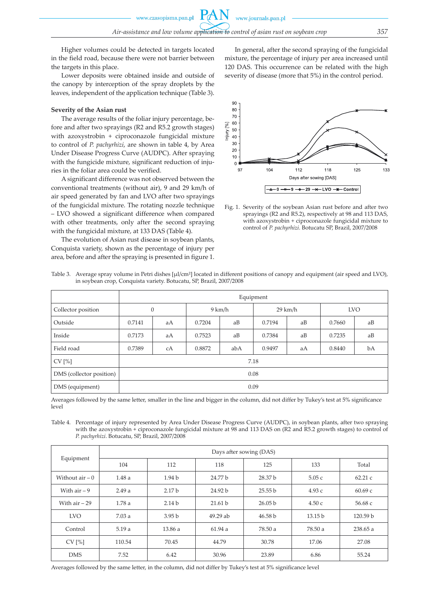Higher volumes could be detected in targets located in the field road, because there were not barrier between the targets in this place.

Lower deposits were obtained inside and outside of the canopy by interception of the spray droplets by the leaves, independent of the application technique (Table 3).

#### **Severity of the Asian rust**

The average results of the foliar injury percentage, before and after two sprayings (R2 and R5.2 growth stages) with azoxystrobin + ciproconazole fungicidal mixture to control of *P. pachyrhizi*, are shown in table 4, by Area Under Disease Progress Curve (AUDPC). After spraying with the fungicide mixture, significant reduction of injuries in the foliar area could be verified.

A significant difference was not observed between the conventional treatments (without air), 9 and 29 km/h of air speed generated by fan and LVO after two sprayings of the fungicidal mixture. The rotating nozzle technique – LVO showed a significant difference when compared with other treatments, only after the second spraying with the fungicidal mixture, at 133 DAS (Table 4).

The evolution of Asian rust disease in soybean plants, Conquista variety, shown as the percentage of injury per area, before and after the spraying is presented in figure 1.

In general, after the second spraying of the fungicidal mixture, the percentage of injury per area increased until 120 DAS. This occurrence can be related with the high severity of disease (more that 5%) in the control period.



Fig. 1. Severity of the soybean Asian rust before and after two sprayings (R2 and R5.2), respectively at 98 and 113 DAS, with azoxystrobin + ciproconazole fungicidal mixture to control of *P. pachyrhizi*. Botucatu SP, Brazil, 2007/2008

| Table 3. Average spray volume in Petri dishes [µl/cm <sup>2</sup> ] located in different positions of canopy and equipment (air speed and LVO), |
|-------------------------------------------------------------------------------------------------------------------------------------------------|
| in soybean crop, Conquista variety. Botucatu, SP, Brazil, 2007/2008                                                                             |

|                          | Equipment        |    |        |     |                   |    |            |    |
|--------------------------|------------------|----|--------|-----|-------------------|----|------------|----|
| Collector position       | $\boldsymbol{0}$ |    | 9 km/h |     | $29 \text{ km/h}$ |    | <b>LVO</b> |    |
| Outside                  | 0.7141           | aA | 0.7204 | aB  | 0.7194            | aB | 0.7660     | aB |
| Inside                   | 0.7173           | aA | 0.7523 | aB  | 0.7384            | aB | 0.7235     | aB |
| Field road               | 0.7389           | cA | 0.8872 | abA | 0.9497            | aA | 0.8440     | bA |
| CV[%]                    | 7.18             |    |        |     |                   |    |            |    |
| DMS (collector position) | 0.08             |    |        |     |                   |    |            |    |
| DMS (equipment)          | 0.09             |    |        |     |                   |    |            |    |

Averages followed by the same letter, smaller in the line and bigger in the column, did not differ by Tukey's test at 5% significance level

Table 4. Percentage of injury represented by Area Under Disease Progress Curve (AUDPC), in soybean plants, after two spraying with the azoxystrobin + ciproconazole fungicidal mixture at 98 and 113 DAS on (R2 and R5.2 growth stages) to control of *P. pachyrhizi*. Botucatu, SP, Brazil, 2007/2008

| Equipment         | Days after sowing (DAS) |                   |          |                    |                    |          |  |
|-------------------|-------------------------|-------------------|----------|--------------------|--------------------|----------|--|
|                   | 104                     | 112               | 118      | 125                | 133                | Total    |  |
| Without $air - 0$ | 1.48a                   | 1.94 <sub>b</sub> | 24.77 b  | 28.37 b            | 5.05c              | 62.21c   |  |
| With $air - 9$    | 2.49a                   | 2.17 <sub>b</sub> | 24.92 b  | 25.55 b            | 4.93c              | 60.69c   |  |
| With $air - 29$   | 1.78a                   | 2.14 <sub>b</sub> | 21.61 b  | 26.05 <sub>b</sub> | 4.50c              | 56.68 c  |  |
| <b>LVO</b>        | 7.03a                   | 3.95 <sub>b</sub> | 49.29 ab | 46.58 b            | 13.15 <sub>b</sub> | 120.59 b |  |
| Control           | 5.19a                   | 13.86a            | 61.94a   | 78.50 a            | 78.50 a            | 238.65 a |  |
| CV[%]             | 110.54                  | 70.45             | 44.79    | 30.78              | 17.06              | 27.08    |  |
| <b>DMS</b>        | 7.52                    | 6.42              | 30.96    | 23.89              | 6.86               | 55.24    |  |

Averages followed by the same letter, in the column, did not differ by Tukey's test at 5% significance level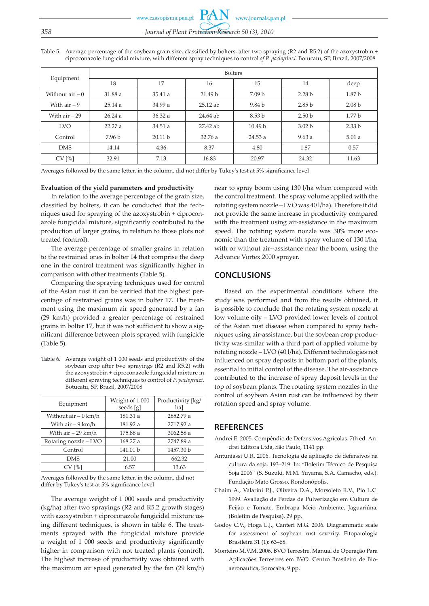www.czasopisma.pan.pl www.journals.pan.pl *358 Journal of Plant Protection Research 50 (3), 2010*

Table 5. Average percentage of the soybean grain size, classified by bolters, after two spraying (R2 and R5.2) of the azoxystrobin + ciproconazole fungicidal mixture, with different spray techniques to control *of P. pachyrhizi*. Botucatu, SP, Brazil, 2007/2008

|                   | <b>Bolters</b> |                    |                    |                    |                   |                   |  |
|-------------------|----------------|--------------------|--------------------|--------------------|-------------------|-------------------|--|
| Equipment         | 18             | 17                 | 16                 | 15                 | 14                | deep              |  |
| Without $air - 0$ | 31.88 a        | 35.41a             | 21.49 <sub>b</sub> | 7.09 <sub>b</sub>  | 2.28 <sub>b</sub> | 1.87 <sub>b</sub> |  |
| With $air - 9$    | 25.14a         | 34.99 a            | 25.12 ab           | 9.84 b             | 2.85 <sub>b</sub> | 2.08 <sub>b</sub> |  |
| With $air - 29$   | 26.24a         | 36.32a             | 24.64 ab           | 8.53 <sub>b</sub>  | 2.50 <sub>b</sub> | 1.77 <sub>b</sub> |  |
| <b>LVO</b>        | 22.27 a        | 34.51a             | 27.42 ab           | 10.49 <sub>b</sub> | 3.02 <sub>b</sub> | 2.33 <sub>b</sub> |  |
| Control           | 7.96 b         | 20.11 <sub>b</sub> | 32.76a             | 24.53 a            | 9.63a             | 5.01a             |  |
| <b>DMS</b>        | 14.14          | 4.36               | 8.37               | 4.80               | 1.87              | 0.57              |  |
| CV[%]             | 32.91          | 7.13               | 16.83              | 20.97              | 24.32             | 11.63             |  |

Averages followed by the same letter, in the column, did not differ by Tukey's test at 5% significance level

## **Evaluation of the yield parameters and productivity**

In relation to the average percentage of the grain size, classified by bolters, it can be conducted that the techniques used for spraying of the azoxystrobin + ciproconazole fungicidal mixture, significantly contributed to the production of larger grains, in relation to those plots not treated (control).

The average percentage of smaller grains in relation to the restrained ones in bolter 14 that comprise the deep one in the control treatment was significantly higher in comparison with other treatments (Table 5).

Comparing the spraying techniques used for control of the Asian rust it can be verified that the highest percentage of restrained grains was in bolter 17. The treatment using the maximum air speed generated by a fan (29 km/h) provided a greater percentage of restrained grains in bolter 17, but it was not sufficient to show a significant difference between plots sprayed with fungicide (Table 5).

Table 6. Average weight of 1 000 seeds and productivity of the soybean crop after two sprayings (R2 and R5.2) with the azoxystrobin + ciproconazole fungicidal mixture in different spraying techniques to control of *P. pachyrhizi*. Botucatu, SP, Brazil, 2007/2008

| Equipment              | Weight of 1000<br>seeds [g] | Productivity [kg/<br>ha] |  |
|------------------------|-----------------------------|--------------------------|--|
| Without $air - 0$ km/h | 181.31 a                    | 2852.79 a                |  |
| With air – 9 km/h      | 181.92 a                    | 2717.92 a                |  |
| With $air - 29$ km/h   | 175.88 a                    | 3062.58 a                |  |
| Rotating nozzle - LVO  | 168.27 a                    | 2747.89 a                |  |
| Control                | 141.01 b                    | 1457.30 b                |  |
| <b>DMS</b>             | 21.00                       | 662.32                   |  |
| CV[%]                  | 6.57                        | 13.63                    |  |

Averages followed by the same letter, in the column, did not differ by Tukey's test at 5% significance level

The average weight of 1 000 seeds and productivity (kg/ha) after two sprayings (R2 and R5.2 growth stages) with azoxystrobin + ciproconazole fungicidal mixture using different techniques, is shown in table 6. The treatments sprayed with the fungicidal mixture provide a weight of 1 000 seeds and productivity significantly higher in comparison with not treated plants (control). The highest increase of productivity was obtained with the maximum air speed generated by the fan (29 km/h) near to spray boom using 130 l/ha when compared with the control treatment. The spray volume applied with the rotating system nozzle – LVO was 40 l/ha). Therefore it did not provide the same increase in productivity compared with the treatment using air-assistance in the maximum speed. The rotating system nozzle was 30% more economic than the treatment with spray volume of 130 l/ha, with or without air--assistance near the boom, using the Advance Vortex 2000 sprayer.

## **CONCLUSIONS**

Based on the experimental conditions where the study was performed and from the results obtained, it is possible to conclude that the rotating system nozzle at low volume oily – LVO provided lower levels of control of the Asian rust disease when compared to spray techniques using air-assistance, but the soybean crop productivity was similar with a third part of applied volume by rotating nozzle – LVO (40 l/ha). Different technologies not influenced on spray deposits in bottom part of the plants, essential to initial control of the disease. The air-assistance contributed to the increase of spray deposit levels in the top of soybean plants. The rotating system nozzles in the control of soybean Asian rust can be influenced by their rotation speed and spray volume.

## **REFERENCES**

- Andrei E. 2005. Compêndio de Defensivos Agrícolas. 7th ed. Andrei Editora Ltda, São Paulo, 1141 pp.
- Antuniassi U.R. 2006. Tecnologia de aplicação de defensivos na cultura da soja. 193–219. In: "Boletim Técnico de Pesquisa Soja 2006" (S. Suzuki, M.M. Yuyama, S.A. Camacho, eds.). Fundação Mato Grosso, Rondonópolis.
- Chaim A., Valarini P.J., Oliveira D.A., Morsoleto R.V., Pio L.C. 1999. Avaliação de Perdas de Pulverização em Cultura de Feijão e Tomate. Embrapa Meio Ambiente, Jaguariúna, (Boletim de Pesquisa). 29 pp.
- Godoy C.V., Hoga L.J., Canteri M.G. 2006. Diagrammatic scale for assessment of soybean rust severity. Fitopatologia Brasileira 31 (1): 63–68.
- Monteiro M.V.M. 2006. BVO Terrestre. Manual de Operação Para Aplicações Terrestres em BVO. Centro Brasileiro de Bioaeronautica, Sorocaba, 9 pp.